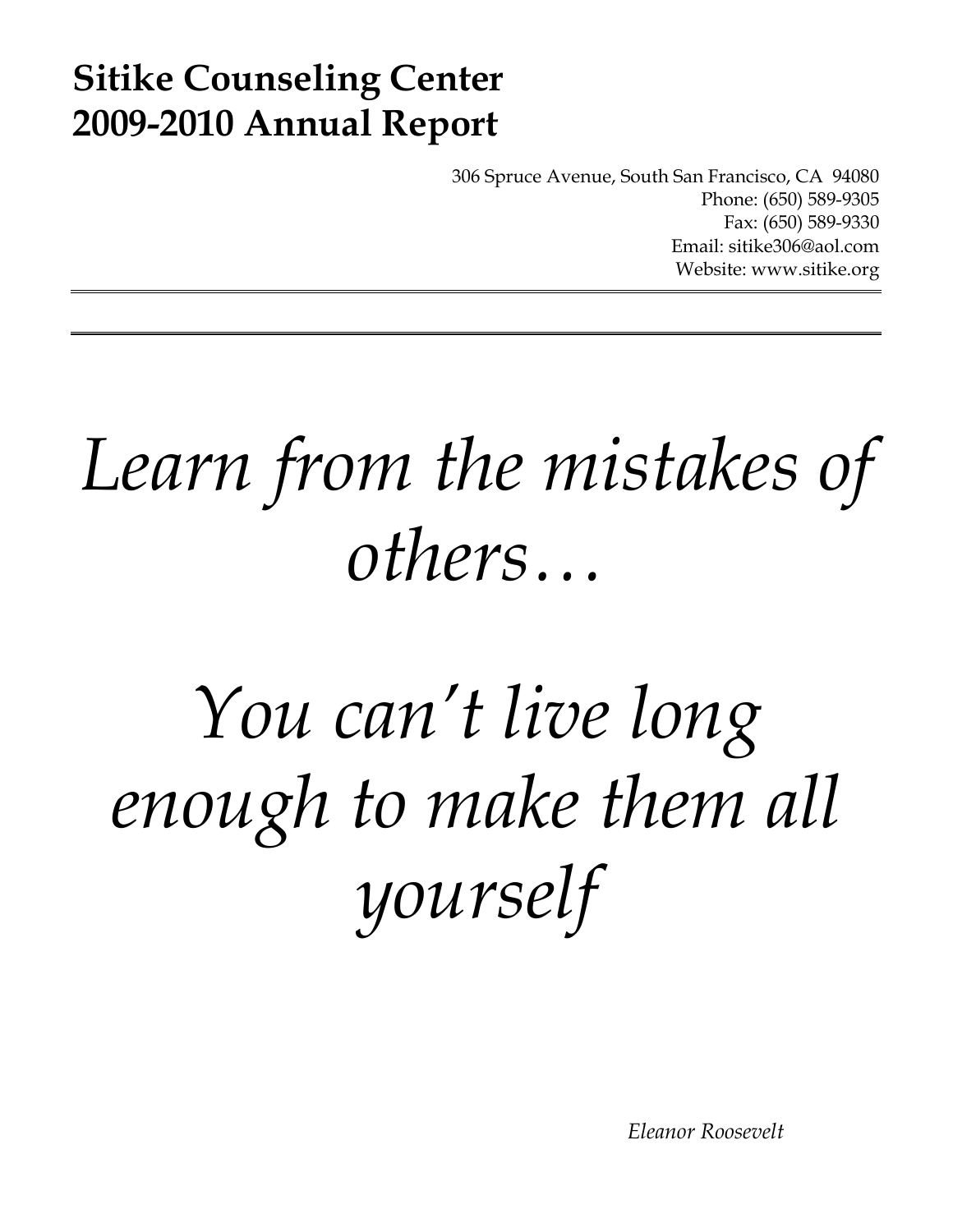### **Sitike Counseling Center 2009-2010 Annual Report**

306 Spruce Avenue, South San Francisco, CA 94080 Phone: (650) 589-9305 Fax: (650) 589-9330 Email: sitike306@aol.com Website: www.sitike.org

## *Learn from the mistakes of others…*

# *You can't live long enough to make them all yourself*

 *Eleanor Roosevelt*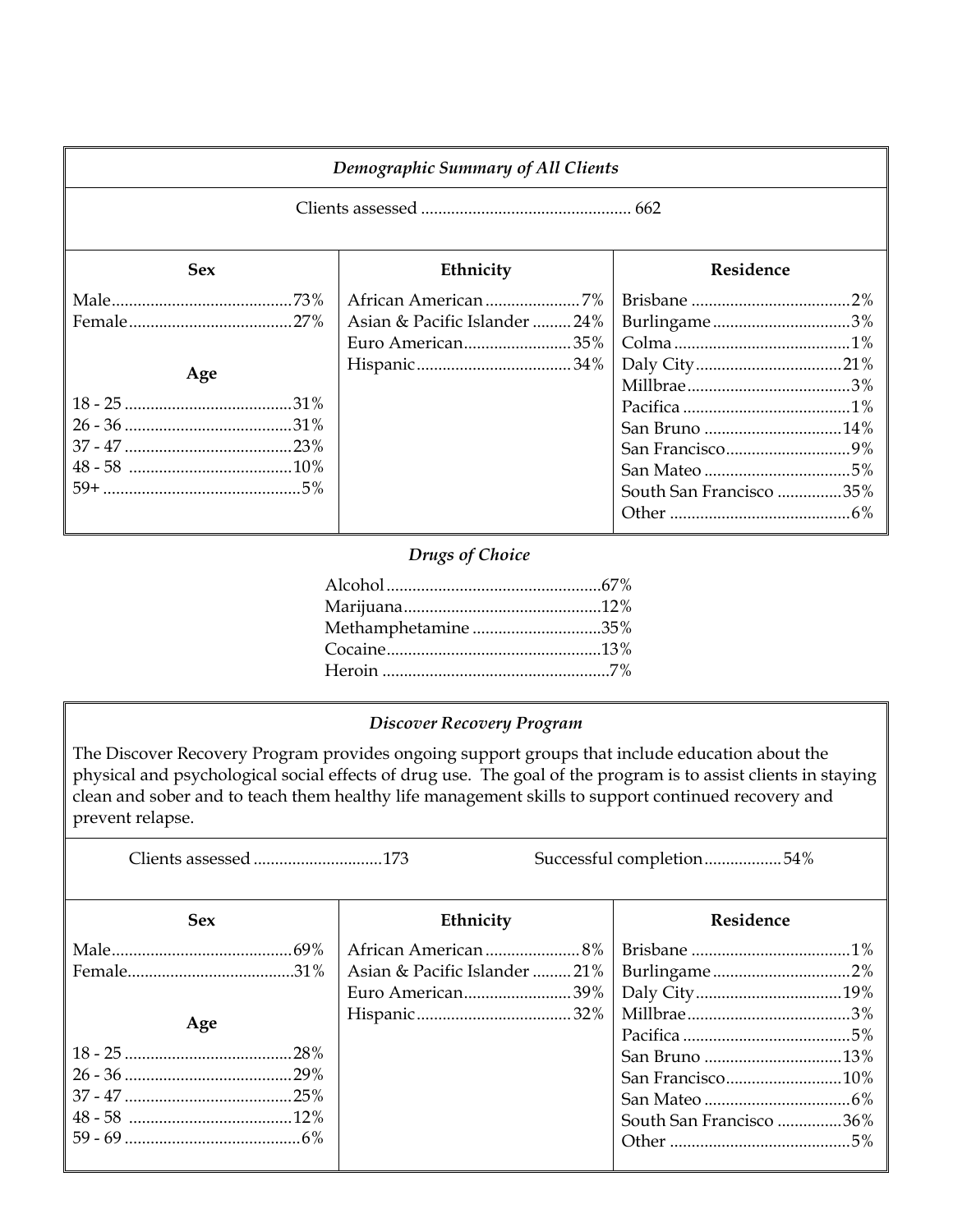| Demographic Summary of All Clients |                               |                                                             |  |
|------------------------------------|-------------------------------|-------------------------------------------------------------|--|
|                                    |                               |                                                             |  |
| <b>Sex</b>                         | Ethnicity                     | Residence                                                   |  |
|                                    | Asian & Pacific Islander  24% | Burlingame3%                                                |  |
| Age                                | Euro American35%              |                                                             |  |
|                                    |                               | San Bruno 14%<br>San Francisco9%<br>South San Francisco 35% |  |

#### *Drugs of Choice*

| Methamphetamine 35% |  |
|---------------------|--|
|                     |  |
|                     |  |

#### *Discover Recovery Program*

The Discover Recovery Program provides ongoing support groups that include education about the physical and psychological social effects of drug use. The goal of the program is to assist clients in staying clean and sober and to teach them healthy life management skills to support continued recovery and prevent relapse.

Clients assessed ..............................173 Successful completion ...................54%

| <b>Sex</b> | Ethnicity          | <b>Residence</b>        |
|------------|--------------------|-------------------------|
|            | African American8% |                         |
|            |                    |                         |
|            | Euro American39%   |                         |
|            |                    |                         |
| Age        |                    |                         |
|            |                    |                         |
|            |                    | San Francisco10%        |
|            |                    |                         |
|            |                    | South San Francisco 36% |
|            |                    |                         |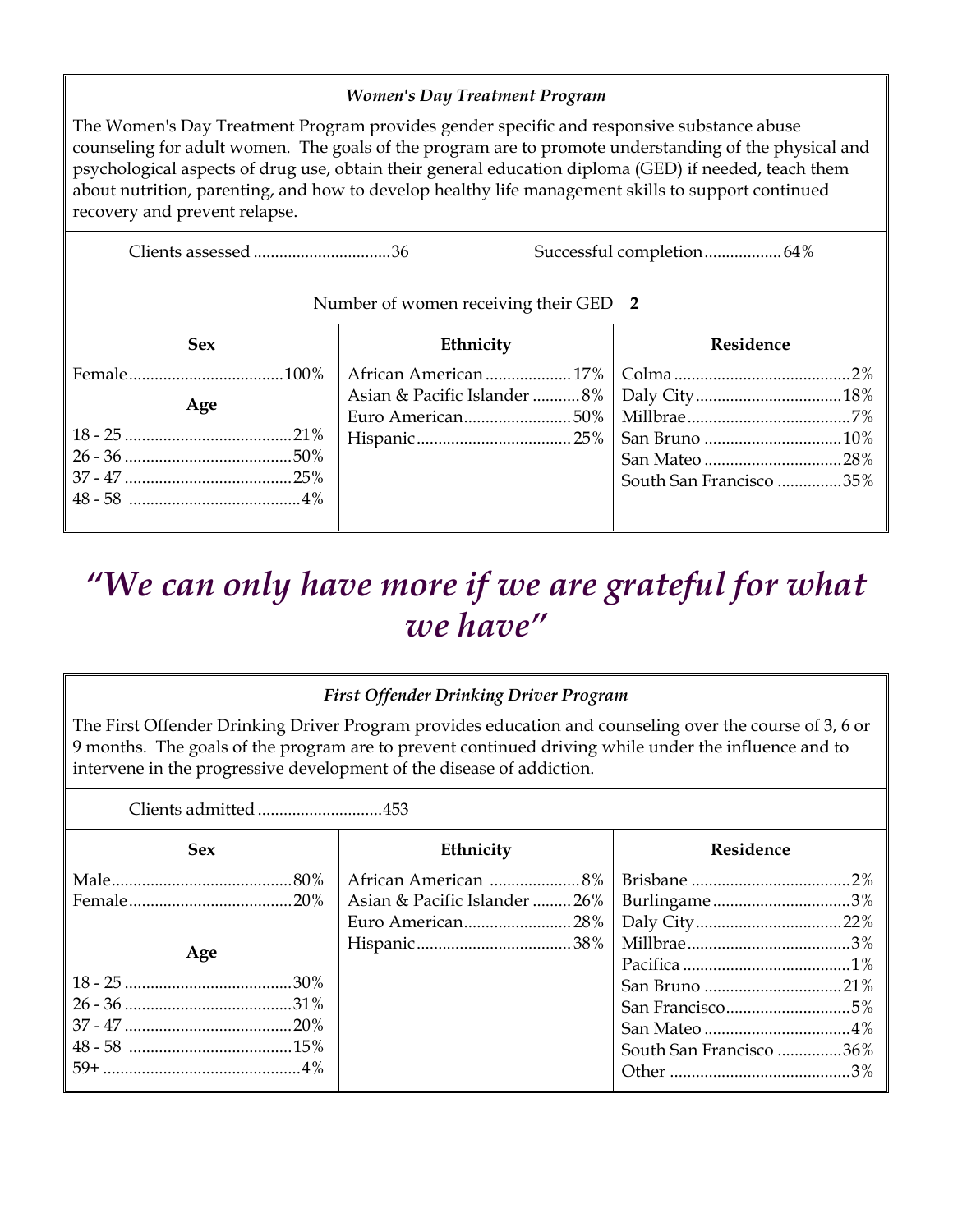#### *Women's Day Treatment Program*

The Women's Day Treatment Program provides gender specific and responsive substance abuse counseling for adult women. The goals of the program are to promote understanding of the physical and psychological aspects of drug use, obtain their general education diploma (GED) if needed, teach them about nutrition, parenting, and how to develop healthy life management skills to support continued recovery and prevent relapse.

Clients assessed ................................ 36 Successful completion .................. 64%

#### Number of women receiving their GED **2**

| <b>Sex</b> | Ethnicity | Residence               |
|------------|-----------|-------------------------|
|            |           |                         |
| Age        |           |                         |
|            |           |                         |
|            |           |                         |
|            |           |                         |
|            |           | South San Francisco 35% |
|            |           |                         |
|            |           |                         |

### *"We can only have more if we are grateful for what we have"*

#### *First Offender Drinking Driver Program*

The First Offender Drinking Driver Program provides education and counseling over the course of 3, 6 or 9 months. The goals of the program are to prevent continued driving while under the influence and to intervene in the progressive development of the disease of addiction.

| Clients admitted453 |                               |                         |
|---------------------|-------------------------------|-------------------------|
| <b>Sex</b>          | Ethnicity                     | Residence               |
|                     |                               |                         |
|                     | Asian & Pacific Islander  26% | Burlingame3%            |
|                     |                               |                         |
|                     |                               |                         |
| Age                 |                               |                         |
|                     |                               |                         |
|                     |                               |                         |
|                     |                               |                         |
|                     |                               | South San Francisco 36% |
|                     |                               |                         |